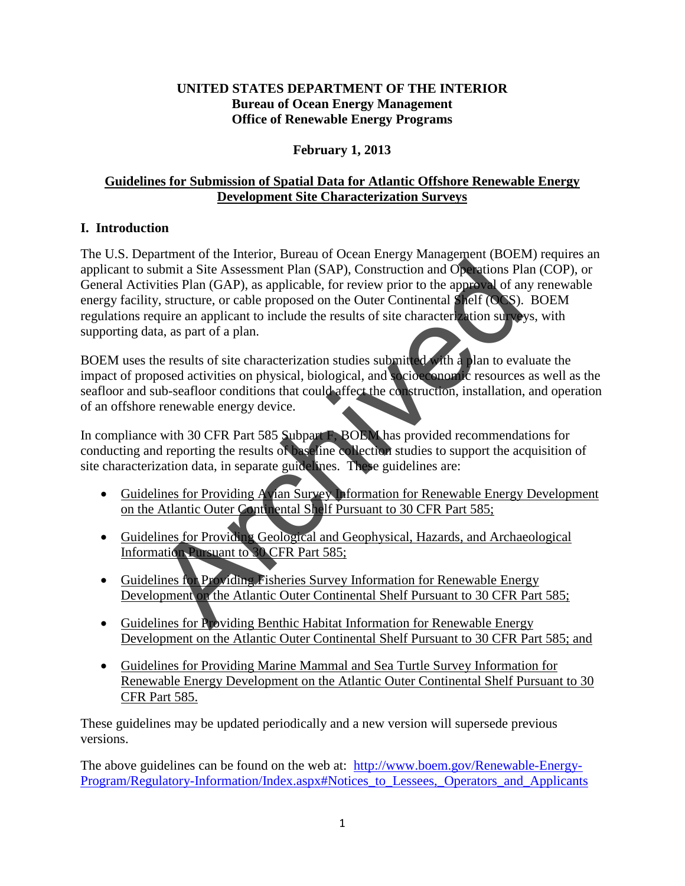#### **UNITED STATES DEPARTMENT OF THE INTERIOR Bureau of Ocean Energy Management Office of Renewable Energy Programs**

### **February 1, 2013**

## **Guidelines for Submission of Spatial Data for Atlantic Offshore Renewable Energy Development Site Characterization Surveys**

# **I. Introduction**

The U.S. Department of the Interior, Bureau of Ocean Energy Management (BOEM) requires an applicant to submit a Site Assessment Plan (SAP), Construction and Operations Plan (COP), or General Activities Plan (GAP), as applicable, for review prior to the approval of any renewable energy facility, structure, or cable proposed on the Outer Continental Shelf (OCS). BOEM regulations require an applicant to include the results of site characterization surveys, with supporting data, as part of a plan. The Manuson of the Archive Color Continental Shelf Pursuant to 30 CFR<br>Research Providing Fisheries Survey in the Archivestory of a system (GAP), as applicable, for review prior to the approval of an<br>y, structure, or cable

BOEM uses the results of site characterization studies submitted with a plan to evaluate the impact of proposed activities on physical, biological, and socioeconomic resources as well as the seafloor and sub-seafloor conditions that could affect the construction, installation, and operation of an offshore renewable energy device.

In compliance with 30 CFR Part 585 Subpart F, BOEM has provided recommendations for conducting and reporting the results of baseline collection studies to support the acquisition of site characterization data, in separate guidelines. These guidelines are:

- Guidelines for Providing Avian Survey Information for Renewable Energy Development on the Atlantic Outer Continental Shelf Pursuant to 30 CFR Part 585;
- Guidelines for Providing Geological and Geophysical, Hazards, and Archaeological Information Pursuant to 30 CFR Part 585;
- Guidelines for Providing Fisheries Survey Information for Renewable Energy Development on the Atlantic Outer Continental Shelf Pursuant to 30 CFR Part 585;
- Guidelines for Providing Benthic Habitat Information for Renewable Energy Development on the Atlantic Outer Continental Shelf Pursuant to 30 CFR Part 585; and
- Guidelines for Providing Marine Mammal and Sea Turtle Survey Information for Renewable Energy Development on the Atlantic Outer Continental Shelf Pursuant to 30 CFR Part 585.

These guidelines may be updated periodically and a new version will supersede previous versions.

The above guidelines can be found on the web at: [http://www.boem.gov/Renewable-Energy-](http://www.boem.gov/Renewable-Energy-Program/Regulatory-Information/Index.aspx#Notices_to_Lessees,_Operators_and_Applicants)Program/Regulatory-Information/Index.aspx#Notices to Lessees, Operators and Applicants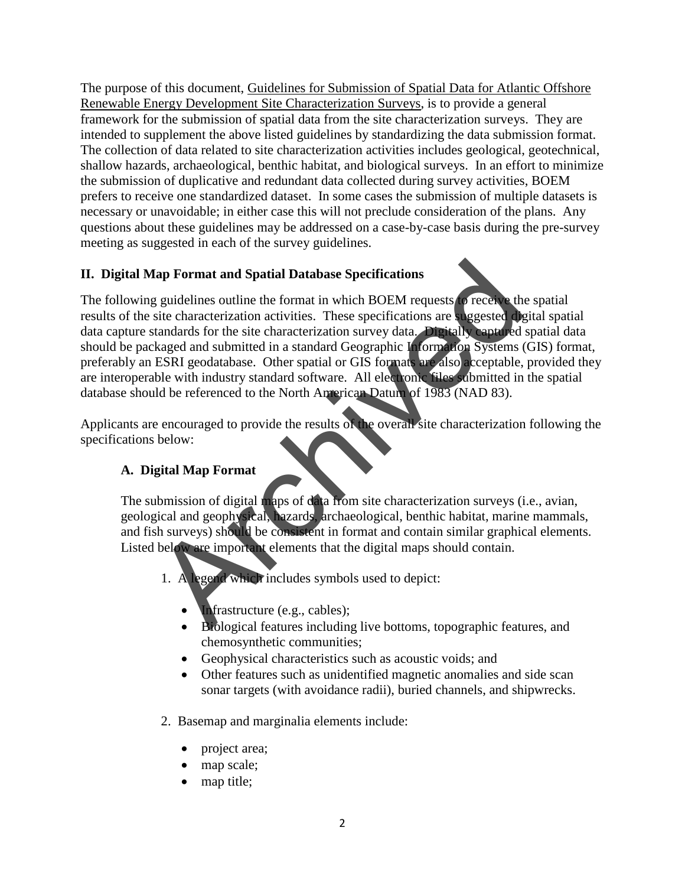The purpose of this document, Guidelines for Submission of Spatial Data for Atlantic Offshore Renewable Energy Development Site Characterization Surveys, is to provide a general framework for the submission of spatial data from the site characterization surveys. They are intended to supplement the above listed guidelines by standardizing the data submission format. The collection of data related to site characterization activities includes geological, geotechnical, shallow hazards, archaeological, benthic habitat, and biological surveys. In an effort to minimize the submission of duplicative and redundant data collected during survey activities, BOEM prefers to receive one standardized dataset. In some cases the submission of multiple datasets is necessary or unavoidable; in either case this will not preclude consideration of the plans. Any questions about these guidelines may be addressed on a case-by-case basis during the pre-survey meeting as suggested in each of the survey guidelines.

# **II. Digital Map Format and Spatial Database Specifications**

The following guidelines outline the format in which BOEM requests to receive the spatial results of the site characterization activities. These specifications are suggested digital spatial data capture standards for the site characterization survey data. Digitally captured spatial data should be packaged and submitted in a standard Geographic Information Systems (GIS) format, preferably an ESRI geodatabase. Other spatial or GIS formats are also acceptable, provided they are interoperable with industry standard software. All electronic files submitted in the spatial database should be referenced to the North American Datum of 1983 (NAD 83). Tap Format and Spatial Database Specifications<br>
g guidelines outline the format in which BOEM requests (a receive the<br>
site characterization activities. These specifications are suggested distandards for the site character

Applicants are encouraged to provide the results of the overall site characterization following the specifications below:

# **A. Digital Map Format**

The submission of digital maps of data from site characterization surveys (i.e., avian, geological and geophysical, hazards, archaeological, benthic habitat, marine mammals, and fish surveys) should be consistent in format and contain similar graphical elements. Listed below are important elements that the digital maps should contain.

- 1. A legend which includes symbols used to depict:
	- **Infrastructure (e.g., cables);**
	- Biological features including live bottoms, topographic features, and chemosynthetic communities;
	- Geophysical characteristics such as acoustic voids; and
	- Other features such as unidentified magnetic anomalies and side scan sonar targets (with avoidance radii), buried channels, and shipwrecks.
- 2. Basemap and marginalia elements include:
	- project area;
	- map scale;
	- map title;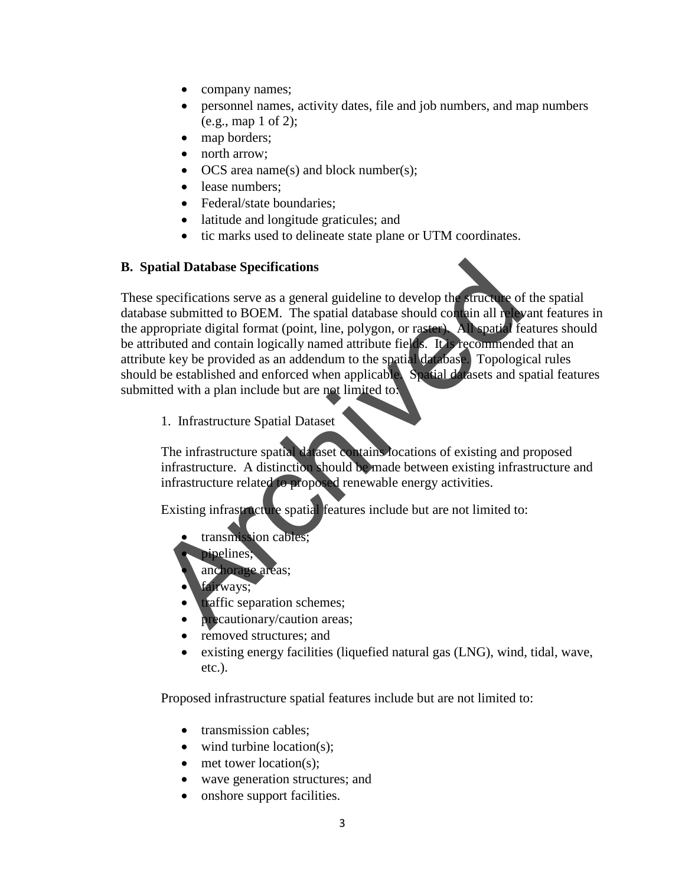- company names;
- personnel names, activity dates, file and job numbers, and map numbers (e.g., map 1 of 2);
- map borders;
- north arrow;
- OCS area name(s) and block number(s);
- lease numbers:
- Federal/state boundaries;
- latitude and longitude graticules; and
- tic marks used to delineate state plane or UTM coordinates.

#### **B. Spatial Database Specifications**

These specifications serve as a general guideline to develop the structure of the spatial database submitted to BOEM. The spatial database should contain all relevant features in the appropriate digital format (point, line, polygon, or raster). All spatial features should be attributed and contain logically named attribute fields. It is recommended that an attribute key be provided as an addendum to the spatial database. Topological rules should be established and enforced when applicable. Spatial datasets and spatial features submitted with a plan include but are not limited to: atial Database Specifications<br>
specifications<br>
ses submitted to BOEM. The spatial database should contain all rely<br>
propriate digital format (point, line, polygon, or raster) All spatial frequencies<br>
digital format (point,

1. Infrastructure Spatial Dataset

The infrastructure spatial dataset contains locations of existing and proposed infrastructure. A distinction should be made between existing infrastructure and infrastructure related to proposed renewable energy activities.

Existing infrastructure spatial features include but are not limited to:

- transmission cables;
- pipelines;
- anchorage areas;
- fairways:
- traffic separation schemes;
- precautionary/caution areas;
- removed structures; and
- existing energy facilities (liquefied natural gas (LNG), wind, tidal, wave, etc.).

Proposed infrastructure spatial features include but are not limited to:

- transmission cables;
- wind turbine location(s):
- met tower location(s);
- wave generation structures; and
- onshore support facilities.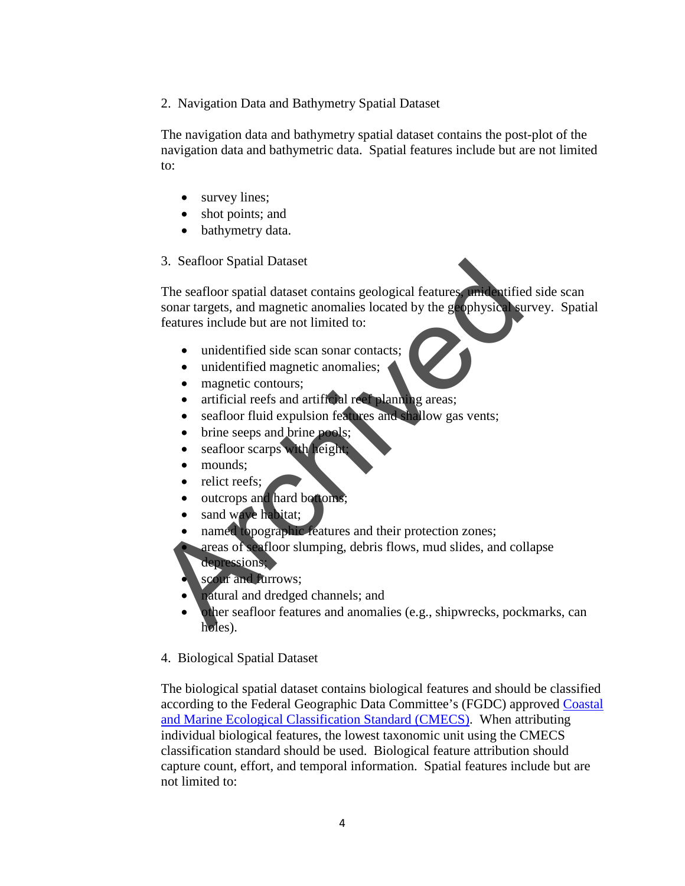2. Navigation Data and Bathymetry Spatial Dataset

The navigation data and bathymetry spatial dataset contains the post-plot of the navigation data and bathymetric data. Spatial features include but are not limited to:

- survey lines;
- shot points; and
- bathymetry data.
- 3. Seafloor Spatial Dataset

The seafloor spatial dataset contains geological features, unidentified side scan sonar targets, and magnetic anomalies located by the geophysical survey. Spatial features include but are not limited to: 3. Seatloor Spatial Dataset<br>
The seafloor spatial dataset contains geological features<br>
sonar targets, and magnetic anomalies located by the geophysics<br>
features include but are not limited to:<br>
<br>
unidentified side scan so

- unidentified side scan sonar contacts;
- unidentified magnetic anomalies;
- magnetic contours:
- artificial reefs and artificial reef planning areas;
- seafloor fluid expulsion features and shallow gas vents;
- brine seeps and brine pools;
- seafloor scarps with height
- mounds:
- relict reefs:
- outcrops and hard bottoms;
- sand wave habitat;
- named topographic features and their protection zones;
- areas of seafloor slumping, debris flows, mud slides, and collapse depressions;
- scour and furrows;
- natural and dredged channels; and
- other seafloor features and anomalies (e.g., shipwrecks, pockmarks, can holes).
- 4. Biological Spatial Dataset

The biological spatial dataset contains biological features and should be classified according to the Federal Geographic Data Committee's (FGDC) approved [Coastal](http://www.csc.noaa.gov/digitalcoast/_/pdf/CMECS_Version%20_4_Final_for_FGDC.pdf)  [and Marine Ecological Classification Standard \(CMECS\).](http://www.csc.noaa.gov/digitalcoast/_/pdf/CMECS_Version%20_4_Final_for_FGDC.pdf) When attributing individual biological features, the lowest taxonomic unit using the CMECS classification standard should be used. Biological feature attribution should capture count, effort, and temporal information. Spatial features include but are not limited to: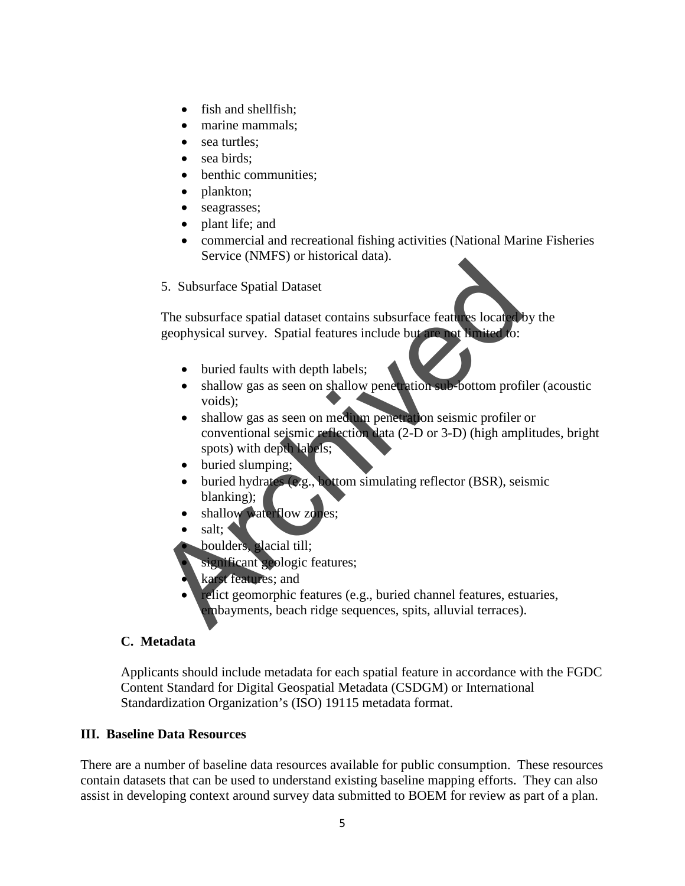- fish and shellfish:
- marine mammals;
- sea turtles;
- sea birds:
- benthic communities;
- plankton;
- seagrasses;
- plant life; and
- commercial and recreational fishing activities (National Marine Fisheries Service (NMFS) or historical data).
- 5. Subsurface Spatial Dataset

The subsurface spatial dataset contains subsurface features located by the geophysical survey. Spatial features include but are not limited to:

- buried faults with depth labels;
- shallow gas as seen on shallow penetration sub-bottom profiler (acoustic voids);
- shallow gas as seen on medium penetration seismic profiler or conventional seismic reflection data (2-D or 3-D) (high amplitudes, bright spots) with depth labels; S. Subsurface Spatial Dataset<br>
The subsurface spatial dataset contains subsurface features located<br>
geophysical survey. Spatial features include but the net that idea<br>
schedule to:<br>
shallow gas as seen on shallow penetrati
	- buried slumping;
	- buried hydrates (e.g., bottom simulating reflector (BSR), seismic blanking);
	- shallow waterflow zones:
	- salt;
	- boulders, glacial till;
	- significant geologic features;
	- karst features; and
	- relict geomorphic features (e.g., buried channel features, estuaries, embayments, beach ridge sequences, spits, alluvial terraces).

### **C. Metadata**

Applicants should include metadata for each spatial feature in accordance with the FGDC Content Standard for Digital Geospatial Metadata (CSDGM) or International Standardization Organization's (ISO) 19115 metadata format.

#### **III. Baseline Data Resources**

There are a number of baseline data resources available for public consumption. These resources contain datasets that can be used to understand existing baseline mapping efforts. They can also assist in developing context around survey data submitted to BOEM for review as part of a plan.